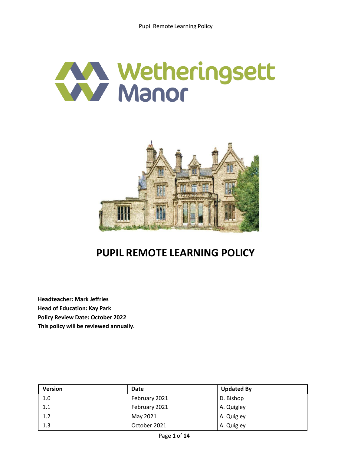# Wetheringsett



# **PUPIL REMOTE LEARNING POLICY**

**Headteacher: Mark Jeffries Head of Education: Kay Park Policy Review Date: October 2022 This policy will be reviewed annually.**

| <b>Version</b> | <b>Date</b>   | <b>Updated By</b> |
|----------------|---------------|-------------------|
| 1.0            | February 2021 | D. Bishop         |
| 1.1            | February 2021 | A. Quigley        |
| 1.2            | May 2021      | A. Quigley        |
| 1.3            | October 2021  | A. Quigley        |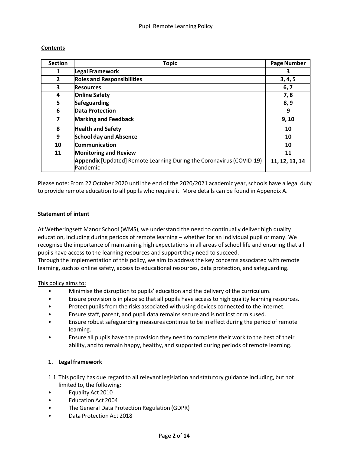#### **Contents**

| <b>Section</b>          | <b>Topic</b>                                                                            | <b>Page Number</b> |
|-------------------------|-----------------------------------------------------------------------------------------|--------------------|
| 1                       | Legal Framework                                                                         | 3                  |
| $\overline{2}$          | <b>Roles and Responsibilities</b>                                                       | 3, 4, 5            |
| 3                       | <b>Resources</b>                                                                        | 6,7                |
| 4                       | <b>Online Safety</b>                                                                    | 7,8                |
| 5                       | Safeguarding                                                                            | 8,9                |
| 6                       | <b>Data Protection</b>                                                                  | 9                  |
| $\overline{\mathbf{z}}$ | <b>Marking and Feedback</b>                                                             | 9,10               |
| 8                       | <b>Health and Safety</b>                                                                | 10                 |
| 9                       | <b>School day and Absence</b>                                                           | 10                 |
| 10                      | <b>Communication</b>                                                                    | 10                 |
| 11                      | <b>Monitoring and Review</b>                                                            | 11                 |
|                         | <b>Appendix</b> [Updated] Remote Learning During the Coronavirus (COVID-19)<br>Pandemic | 11, 12, 13, 14     |

Please note: From 22 October 2020 until the end of the 2020/2021 academic year, schools have a legal duty to provide remote education to all pupils who require it. More details can be found in Appendix A.

#### **Statement of intent**

At Wetheringsett Manor School (WMS), we understand the need to continually deliver high quality education, including during periods of remote learning – whether for an individual pupil or many. We recognise the importance of maintaining high expectations in all areas of school life and ensuring that all pupils have access to the learning resources and support they need to succeed.

Through the implementation of this policy, we aim to addressthe key concerns associated with remote learning, such as online safety, access to educational resources, data protection, and safeguarding.

#### This policy aims to:

- Minimise the disruption to pupils' education and the delivery of the curriculum.
- Ensure provision is in place so that all pupils have access to high quality learning resources.
- Protect pupils from the risks associated with using devices connected to the internet.
- Ensure staff, parent, and pupil data remains secure and is not lost or misused.
- Ensure robust safeguarding measures continue to be in effect during the period of remote learning.
- Ensure all pupils have the provision they need to complete their work to the best of their ability, and to remain happy, healthy, and supported during periods of remote learning.

#### **1. Legal framework**

- 1.1 This policy has due regard to all relevantlegislation and statutory guidance including, but not limited to, the following:
- Equality Act 2010
- Education Act 2004
- The General Data Protection Regulation (GDPR)
- Data Protection Act 2018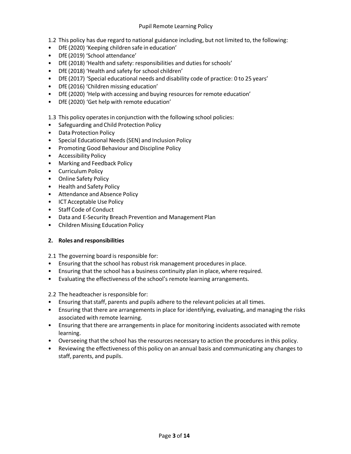#### Pupil Remote Learning Policy

- 1.2 This policy has due regard to national guidance including, but not limited to, the following:
- DfE (2020) 'Keeping children safe in education'
- DfE (2019) 'School attendance'
- DfE (2018) 'Health and safety: responsibilities and duties for schools'
- DfE (2018) 'Health and safety for school children'
- DfE (2017) 'Special educational needs and disability code of practice: 0 to 25 years'
- DfE (2016) 'Children missing education'
- DfE (2020) 'Help with accessing and buying resources for remote education'
- DfE (2020) 'Get help with remote education'

#### 1.3 This policy operates in conjunction with the following school policies:

- Safeguarding and Child Protection Policy
- Data Protection Policy
- Special Educational Needs (SEN) and Inclusion Policy
- Promoting Good Behaviour and Discipline Policy
- Accessibility Policy
- Marking and Feedback Policy
- Curriculum Policy
- Online Safety Policy
- Health and Safety Policy
- Attendance and Absence Policy
- ICT Acceptable Use Policy
- Staff Code of Conduct
- Data and E-Security Breach Prevention and Management Plan
- Children Missing Education Policy

#### **2. Roles and responsibilities**

2.1 The governing board is responsible for:

- Ensuring that the school has robust risk management procedures in place.
- Ensuring that the school has a business continuity plan in place, where required.
- Evaluating the effectiveness of the school's remote learning arrangements.

2.2 The headteacher is responsible for:

- Ensuring that staff, parents and pupils adhere to the relevant policies at all times.
- Ensuring that there are arrangements in place for identifying, evaluating, and managing the risks associated with remote learning.
- Ensuring that there are arrangements in place for monitoring incidents associated with remote learning.
- Overseeing that the school has the resources necessary to action the procedures in this policy.
- Reviewing the effectiveness of this policy on an annual basis and communicating any changes to staff, parents, and pupils.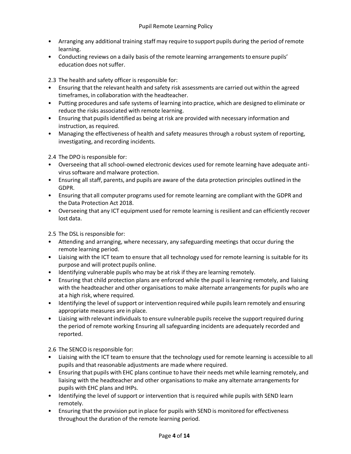- Arranging any additional training staff may require to support pupils during the period of remote learning.
- Conducting reviews on a daily basis of the remote learning arrangements to ensure pupils' education does not suffer.

2.3 The health and safety officer is responsible for:

- Ensuring that the relevant health and safety risk assessments are carried out within the agreed timeframes, in collaboration with the headteacher.
- Putting procedures and safe systems of learning into practice, which are designed to eliminate or reduce the risks associated with remote learning.
- Ensuring that pupils identified as being atrisk are provided with necessary information and instruction, as required.
- Managing the effectiveness of health and safety measures through a robust system of reporting, investigating, and recording incidents.

2.4 The DPO is responsible for:

- Overseeing that all school-owned electronic devices used for remote learning have adequate antivirus software and malware protection.
- Ensuring all staff, parents, and pupils are aware of the data protection principles outlined in the GDPR.
- Ensuring that all computer programs used for remote learning are compliant with the GDPR and the Data Protection Act 2018.
- Overseeing that any ICT equipment used for remote learning is resilient and can efficiently recover lost data.

2.5 The DSL is responsible for:

- Attending and arranging, where necessary, any safeguarding meetings that occur during the remote learning period.
- Liaising with the ICT team to ensure that all technology used for remote learning is suitable for its purpose and will protect pupils online.
- Identifying vulnerable pupils who may be at risk if they are learning remotely.
- Ensuring that child protection plans are enforced while the pupil is learning remotely, and liaising with the headteacher and other organisations to make alternate arrangements for pupils who are at a high risk, where required.
- Identifying the level of support or intervention required while pupils learn remotely and ensuring appropriate measures are in place.
- Liaising with relevant individuals to ensure vulnerable pupils receive the support required during the period of remote working Ensuring all safeguarding incidents are adequately recorded and reported.

2.6 The SENCO is responsible for:

- Liaising with the ICT team to ensure that the technology used for remote learning is accessible to all pupils and that reasonable adjustments are made where required.
- Ensuring that pupils with EHC plans continue to have their needs met while learning remotely, and liaising with the headteacher and other organisations to make any alternate arrangements for pupils with EHC plans and IHPs.
- Identifying the level of support or intervention that is required while pupils with SEND learn remotely.
- Ensuring that the provision put in place for pupils with SEND is monitored for effectiveness throughout the duration of the remote learning period.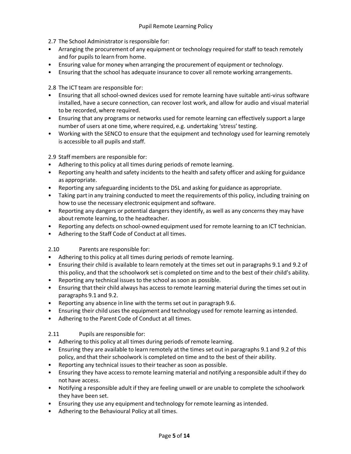- 2.7 The School Administrator is responsible for:
- Arranging the procurement of any equipment or technology required for staff to teach remotely and for pupils to learn from home.
- Ensuring value for money when arranging the procurement of equipment or technology.
- Ensuring that the school has adequate insurance to cover all remote working arrangements.

2.8 The ICT team are responsible for:

- Ensuring that all school-owned devices used for remote learning have suitable anti-virus software installed, have a secure connection, can recover lost work, and allow for audio and visual material to be recorded, where required.
- Ensuring that any programs or networks used for remote learning can effectively support a large number of users at one time, where required, e.g. undertaking 'stress' testing.
- Working with the SENCO to ensure that the equipment and technology used for learning remotely is accessible to all pupils and staff.

2.9 Staff members are responsible for:

- Adhering to this policy at all times during periods of remote learning.
- Reporting any health and safety incidents to the health and safety officer and asking for guidance as appropriate.
- Reporting any safeguarding incidents to the DSL and asking for guidance as appropriate.
- Taking part in any training conducted to meet the requirements of this policy, including training on how to use the necessary electronic equipment and software.
- Reporting any dangers or potential dangers they identify, as well as any concerns they may have about remote learning, to the headteacher.
- Reporting any defects on school-owned equipment used for remote learning to an ICT technician.
- Adhering to the Staff Code of Conduct at all times.

2.10 Parents are responsible for:

- Adhering to this policy at all times during periods of remote learning.
- Ensuring their child is available to learn remotely at the times set out in paragraphs 9.1 and 9.2 of this policy, and that the schoolwork set is completed on time and to the best of their child's ability.
- Reporting any technical issues to the school as soon as possible.
- Ensuring that their child always has access to remote learning material during the times set out in paragraphs 9.1 and 9.2.
- Reporting any absence in line with the terms set out in paragraph 9.6.
- Ensuring their child uses the equipment and technology used for remote learning asintended.
- Adhering to the Parent Code of Conduct at all times.

# 2.11 Pupils are responsible for:

- Adhering to this policy at all times during periods of remote learning.
- Ensuring they are available to learn remotely at the times set out in paragraphs 9.1 and 9.2 of this policy, and that their schoolwork is completed on time and to the best of their ability.
- Reporting any technical issues to their teacher as soon as possible.
- Ensuring they have access to remote learning material and notifying a responsible adult if they do not have access.
- Notifying a responsible adult if they are feeling unwell or are unable to complete the schoolwork they have been set.
- Ensuring they use any equipment and technology for remote learning as intended.
- Adhering to the Behavioural Policy at all times.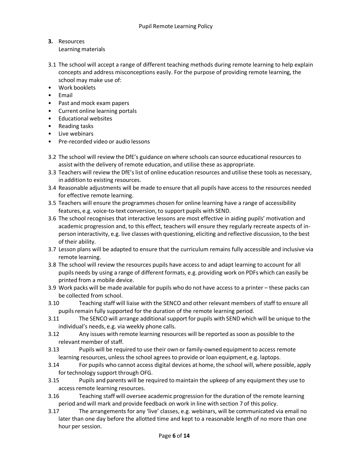- **3.** Resources Learning materials
- 3.1 The school will accept a range of different teaching methods during remote learning to help explain concepts and address misconceptions easily. For the purpose of providing remote learning, the school may make use of:
- Work booklets
- Email
- Past and mock exam papers
- Current online learning portals
- Educational websites
- Reading tasks
- Live webinars
- Pre-recorded video or audio lessons
- 3.2 The school will review the DfE's guidance on where schools can source educational resources to assist with the delivery of remote education, and utilise these as appropriate.
- 3.3 Teachers will review the DfE's list of online education resources and utilise these tools as necessary, in addition to existing resources.
- 3.4 Reasonable adjustments will be made to ensure that all pupils have access to the resources needed for effective remote learning.
- 3.5 Teachers will ensure the programmes chosen for online learning have a range of accessibility features, e.g. voice-to-text conversion, to support pupils with SEND.
- 3.6 The school recognises that interactive lessons are most effective in aiding pupils' motivation and academic progression and, to this effect, teachers will ensure they regularly recreate aspects of inperson interactivity, e.g. live classes with questioning, eliciting and reflective discussion, to the best of their ability.
- 3.7 Lesson plans will be adapted to ensure that the curriculum remains fully accessible and inclusive via remote learning.
- 3.8 The school will review the resources pupils have access to and adapt learning to account for all pupils needs by using a range of different formats, e.g. providing work on PDFs which can easily be printed from a mobile device.
- 3.9 Work packs will be made available for pupils who do not have access to a printer these packs can be collected from school.
- 3.10 Teaching staff will liaise with the SENCO and other relevant members of staff to ensure all pupils remain fully supported for the duration of the remote learning period.
- 3.11 The SENCO will arrange additional support for pupils with SEND which will be unique to the individual's needs, e.g. via weekly phone calls.
- 3.12 Any issues with remote learning resources will be reported as soon as possible to the relevant member of staff.
- 3.13 Pupils will be required to use their own or family-owned equipment to access remote learning resources, unless the school agrees to provide or loan equipment, e.g. laptops.
- 3.14 For pupils who cannot access digital devices at home, the school will, where possible, apply for technology support through OFG.
- 3.15 Pupils and parents will be required to maintain the upkeep of any equipmentthey use to access remote learning resources.
- 3.16 Teaching staff will oversee academic progression forthe duration of the remote learning period and will mark and provide feedback on work in line with section 7 of this policy.
- 3.17 The arrangements for any 'live' classes, e.g. webinars, will be communicated via email no later than one day before the allotted time and kept to a reasonable length of no more than one hour per session.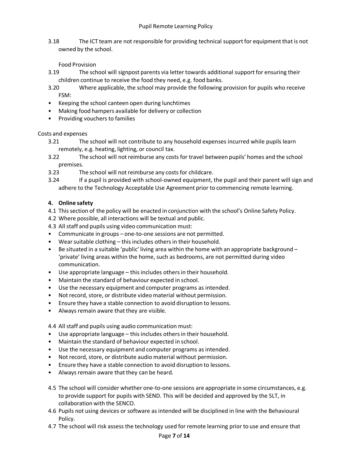3.18 The ICT team are not responsible for providing technical support for equipment that is not owned by the school.

# Food Provision

- 3.19 The school will signpost parents via letter towards additional support for ensuring their children continue to receive the food they need, e.g. food banks.
- 3.20 Where applicable, the school may provide the following provision for pupils who receive FSM:
- Keeping the school canteen open during lunchtimes
- Making food hampers available for delivery or collection
- Providing vouchers to families

# Costs and expenses

- 3.21 The school will not contribute to any household expenses incurred while pupils learn remotely, e.g. heating, lighting, or council tax.
- 3.22 The school will notreimburse any costs for travel between pupils' homes and the school premises.
- 3.23 The school will notreimburse any costs for childcare.
- 3.24 If a pupil is provided with school-owned equipment, the pupil and their parent will sign and adhere to the Technology Acceptable Use Agreement prior to commencing remote learning.

# **4. Online safety**

- 4.1 Thissection of the policy will be enacted in conjunction with the school's Online Safety Policy.
- 4.2 Where possible, all interactions will be textual and public.
- 4.3 All staff and pupils using video communication must:
- Communicate in groups one-to-one sessions are not permitted.
- Wear suitable clothing  $-$  this includes others in their household.
- Be situated in a suitable 'public' living area within the home with an appropriate background 'private' living areas within the home, such as bedrooms, are not permitted during video communication.
- $\bullet$  Use appropriate language this includes others in their household.
- Maintain the standard of behaviour expected in school.
- Use the necessary equipment and computer programs as intended.
- Not record, store, or distribute video material without permission.
- Ensure they have a stable connection to avoid disruption to lessons.
- Always remain aware that they are visible.

4.4 All staff and pupils using audio communication must:

- Use appropriate language this includes othersin their household.
- Maintain the standard of behaviour expected in school.
- Use the necessary equipment and computer programs as intended.
- Not record, store, or distribute audio material without permission.
- Ensure they have a stable connection to avoid disruption to lessons.
- Always remain aware that they can be heard.
- 4.5 The school will consider whether one-to-one sessions are appropriate in some circumstances, e.g. to provide support for pupils with SEND. This will be decided and approved by the SLT, in collaboration with the SENCO.
- 4.6 Pupils not using devices or software as intended will be disciplined in line with the Behavioural Policy.
- 4.7 The school will risk assess the technology used for remote learning prior to use and ensure that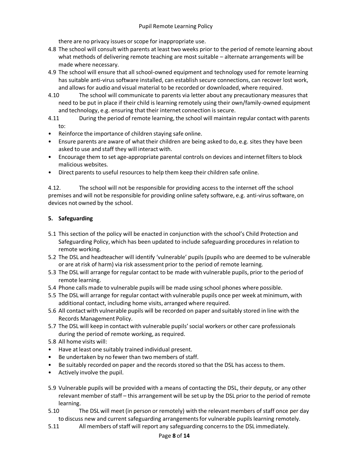there are no privacy issues or scope for inappropriate use.

- 4.8 The school will consult with parents at least two weeks prior to the period of remote learning about what methods of delivering remote teaching are most suitable – alternate arrangements will be made where necessary.
- 4.9 The school will ensure that all school-owned equipment and technology used for remote learning has suitable anti-virus software installed, can establish secure connections, can recover lost work, and allows for audio and visual material to be recorded or downloaded, where required.
- 4.10 The school will communicate to parents via letter about any precautionary measures that need to be put in place if their child is learning remotely using their own/family-owned equipment and technology, e.g. ensuring that their internet connection is secure.
- 4.11 During the period of remote learning, the school will maintain regular contact with parents to:
- Reinforce the importance of children staying safe online.
- Ensure parents are aware of what their children are being asked to do, e.g. sites they have been asked to use and staff they will interact with.
- Encourage them to set age-appropriate parental controls on devices and internet filters to block malicious websites.
- Direct parents to useful resources to help them keep their children safe online.

4.12. The school will not be responsible for providing access to the internet off the school premises and will not be responsible for providing online safety software, e.g. anti-virussoftware, on devices not owned by the school.

### **5. Safeguarding**

- 5.1 This section of the policy will be enacted in conjunction with the school's Child Protection and Safeguarding Policy, which has been updated to include safeguarding procedures in relation to remote working.
- 5.2 The DSL and headteacher will identify 'vulnerable' pupils (pupils who are deemed to be vulnerable or are at risk of harm) via risk assessment prior to the period of remote learning.
- 5.3 The DSL will arrange for regular contact to be made with vulnerable pupils, prior to the period of remote learning.
- 5.4 Phone calls made to vulnerable pupils will be made using school phones where possible.
- 5.5 The DSL will arrange for regular contact with vulnerable pupils once per week at minimum, with additional contact, including home visits, arranged where required.
- 5.6 All contact with vulnerable pupils will be recorded on paper and suitably stored in line with the Records Management Policy.
- 5.7 The DSL will keep in contact with vulnerable pupils'social workers or other care professionals during the period of remote working, as required.
- 5.8 All home visits will:
- Have at least one suitably trained individual present.
- Be undertaken by no fewer than two members of staff.
- Be suitably recorded on paper and the records stored so that the DSL has access to them.
- Actively involve the pupil.
- 5.9 Vulnerable pupils will be provided with a means of contacting the DSL, their deputy, or any other relevant member of staff – this arrangement will be set up by the DSL prior to the period of remote learning.
- 5.10 The DSL will meet (in person or remotely) with the relevant members of staff once per day to discuss new and current safeguarding arrangementsfor vulnerable pupils learning remotely.
- 5.11 All members ofstaff will report any safeguarding concernsto the DSL immediately.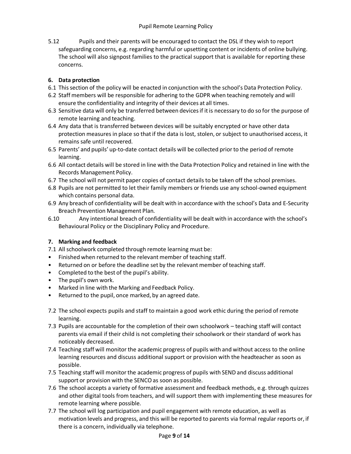5.12 Pupils and their parents will be encouraged to contact the DSL if they wish to report safeguarding concerns, e.g. regarding harmful or upsetting content or incidents of online bullying. The school will also signpost families to the practical support that is available for reporting these concerns.

# **6. Data protection**

- 6.1 Thissection of the policy will be enacted in conjunction with the school's Data Protection Policy.
- 6.2 Staff members will be responsible for adhering to the GDPR when teaching remotely and will ensure the confidentiality and integrity of their devices at all times.
- 6.3 Sensitive data will only be transferred between devicesif itis necessary to do so for the purpose of remote learning and teaching.
- 6.4 Any data that is transferred between devices will be suitably encrypted or have other data protection measures in place so that if the data is lost, stolen, or subject to unauthorised access, it remains safe until recovered.
- 6.5 Parents' and pupils' up-to-date contact details will be collected priorto the period of remote learning.
- 6.6 All contact details will be stored in line with the Data Protection Policy and retained in line with the Records Management Policy.
- 6.7 The school will not permit paper copies of contact details to be taken off the school premises.
- 6.8 Pupils are not permitted to let their family members or friends use any school-owned equipment which contains personal data.
- 6.9 Any breach of confidentiality will be dealt with in accordance with the school's Data and E-Security Breach Prevention Management Plan.
- 6.10 Any intentional breach of confidentiality will be dealt with in accordance with the school's Behavioural Policy or the Disciplinary Policy and Procedure.

# **7. Marking and feedback**

7.1 All schoolwork completed through remote learning must be:

- Finished when returned to the relevant member of teaching staff.
- Returned on or before the deadline set by the relevant member of teaching staff.
- Completed to the best of the pupil's ability.
- The pupil's own work.
- Marked in line with the Marking and Feedback Policy.
- Returned to the pupil, once marked, by an agreed date.
- 7.2 The school expects pupils and staff to maintain a good work ethic during the period of remote learning.
- 7.3 Pupils are accountable for the completion of their own schoolwork teaching staff will contact parents via email if their child is not completing their schoolwork or their standard of work has noticeably decreased.
- 7.4 Teaching staff will monitor the academic progress of pupils with and without access to the online learning resources and discuss additional support or provision with the headteacher as soon as possible.
- 7.5 Teaching staff will monitor the academic progress of pupils with SEND and discuss additional support or provision with the SENCO as soon as possible.
- 7.6 The school accepts a variety of formative assessment and feedback methods, e.g. through quizzes and other digital tools from teachers, and will support them with implementing these measures for remote learning where possible.
- 7.7 The school will log participation and pupil engagement with remote education, as well as motivation levels and progress, and this will be reported to parents via formal regular reports or, if there is a concern, individually via telephone.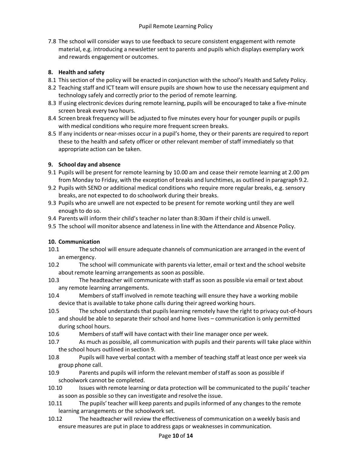7.8 The school will consider ways to use feedback to secure consistent engagement with remote material, e.g. introducing a newsletter sent to parents and pupils which displays exemplary work and rewards engagement or outcomes.

# **8. Health and safety**

- 8.1 Thissection of the policy will be enacted in conjunction with the school's Health and Safety Policy.
- 8.2 Teaching staff and ICT team will ensure pupils are shown how to use the necessary equipment and technology safely and correctly prior to the period of remote learning.
- 8.3 If using electronic devices during remote learning, pupils will be encouraged to take a five-minute screen break every two hours.
- 8.4 Screen break frequency will be adjusted to five minutes every hour for younger pupils or pupils with medical conditions who require more frequent screen breaks.
- 8.5 If any incidents or near-misses occur in a pupil's home, they or their parents are required to report these to the health and safety officer or other relevant member of staff immediately so that appropriate action can be taken.

# **9. School day and absence**

- 9.1 Pupils will be present for remote learning by 10.00 am and cease their remote learning at 2.00 pm from Monday to Friday, with the exception of breaks and lunchtimes, as outlined in paragraph 9.2.
- 9.2 Pupils with SEND or additional medical conditions who require more regular breaks, e.g. sensory breaks, are not expected to do schoolwork during their breaks.
- 9.3 Pupils who are unwell are not expected to be present for remote working until they are well enough to do so.
- 9.4 Parents will inform their child's teacher no later than 8:30am if their child is unwell.
- 9.5 The school will monitor absence and lateness in line with the Attendance and Absence Policy.

# **10. Communication**

- 10.1 The school will ensure adequate channels of communication are arranged in the event of an emergency.
- 10.2 The school will communicate with parents via letter, email ortext and the school website about remote learning arrangements as soon as possible.
- 10.3 The headteacher will communicate with staff as soon as possible via email or text about any remote learning arrangements.
- 10.4 Members of staff involved in remote teaching will ensure they have a working mobile device that is available to take phone calls during their agreed working hours.
- 10.5 The school understands that pupils learning remotely have the right to privacy out-of-hours and should be able to separate their school and home lives – communication is only permitted during school hours.
- 10.6 Members of staff will have contact with their line manager once per week.
- 10.7 As much as possible, all communication with pupils and their parents will take place within the school hours outlined in section 9.
- 10.8 Pupils will have verbal contact with a member of teaching staff atleast once per week via group phone call.
- 10.9 Parents and pupils will inform the relevant member ofstaff as soon as possible if schoolwork cannot be completed.
- 10.10 Issues with remote learning or data protection will be communicated to the pupils'teacher assoon as possible so they can investigate and resolve the issue.
- 10.11 The pupils'teacher will keep parents and pupils informed of any changes to the remote learning arrangements or the schoolwork set.
- 10.12 The headteacher will review the effectiveness of communication on a weekly basis and ensure measures are putin place to address gaps or weaknesses in communication.

#### Page **10** of **14**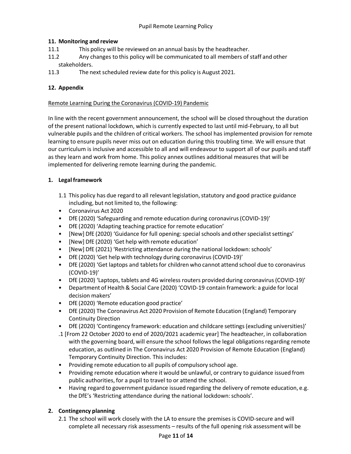# **11. Monitoring and review**

- 11.1 This policy will be reviewed on an annual basis by the headteacher.
- 11.2 Any changes to this policy will be communicated to all members of staff and other stakeholders.
- 11.3 The next scheduled review date for this policy is August 2021.

### **12. Appendix**

#### Remote Learning During the Coronavirus (COVID-19) Pandemic

In line with the recent government announcement, the school will be closed throughout the duration of the present national lockdown, which is currently expected to last until mid-February, to all but vulnerable pupils and the children of critical workers. The school has implemented provision for remote learning to ensure pupils never miss out on education during this troubling time. We will ensure that our curriculum is inclusive and accessible to all and will endeavour to support all of our pupils and staff as they learn and work from home. This policy annex outlines additional measures that will be implemented for delivering remote learning during the pandemic.

### **1. Legal framework**

- 1.1 This policy has due regard to all relevant legislation, statutory and good practice guidance including, but not limited to, the following:
- Coronavirus Act 2020
- DfE (2020) 'Safeguarding and remote education during coronavirus(COVID-19)'
- DfE (2020) 'Adapting teaching practice for remote education'
- [New] DfE (2020) 'Guidance for full opening: special schools and other specialist settings'
- [New] DfE (2020) 'Get help with remote education'
- [New] DfE (2021) 'Restricting attendance during the national lockdown: schools'
- DfE (2020) 'Get help with technology during coronavirus(COVID-19)'
- DfE (2020) 'Get laptops and tabletsfor children who cannot attend school due to coronavirus (COVID-19)'
- DfE (2020) 'Laptops, tablets and 4G wireless routers provided during coronavirus(COVID-19)'
- Department of Health & Social Care (2020) 'COVID-19 contain framework: a guide for local decision makers'
- DfE (2020) 'Remote education good practice'
- DfE (2020) The Coronavirus Act 2020 Provision of Remote Education (England) Temporary Continuity Direction
- DfE (2020) 'Contingency framework: education and childcare settings (excluding universities)'
- .1 [From 22 October 2020 to end of 2020/2021 academic year] The headteacher, in collaboration with the governing board, will ensure the school follows the legal obligations regarding remote education, as outlined in The Coronavirus Act 2020 Provision of Remote Education (England) Temporary Continuity Direction. This includes:
- Providing remote education to all pupils of compulsory school age.
- Providing remote education where it would be unlawful, or contrary to guidance issued from public authorities, for a pupil to travel to or attend the school.
- Having regard to government guidance issued regarding the delivery of remote education, e.g. the DfE's 'Restricting attendance during the national lockdown: schools'.

# **2. Contingency planning**

2.1 The school will work closely with the LA to ensure the premises is COVID-secure and will complete all necessary risk assessments – results of the full opening risk assessment will be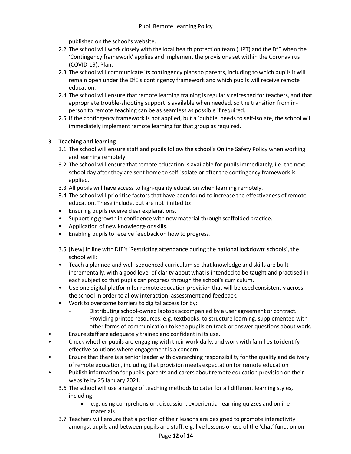published on the school's website.

- 2.2 The school will work closely with the local health protection team (HPT) and the DfE when the 'Contingency framework' applies and implement the provisions set within the Coronavirus (COVID-19): Plan.
- 2.3 The school will communicate its contingency plansto parents, including to which pupils it will remain open under the DfE's contingency framework and which pupils will receive remote education.
- 2.4 The school will ensure that remote learning training is regularly refreshed for teachers, and that appropriate trouble-shooting support is available when needed, so the transition from inperson to remote teaching can be as seamless as possible if required.
- 2.5 If the contingency framework is not applied, but a 'bubble' needs to self-isolate, the school will immediately implement remote learning for that group as required.

# **3. Teaching and learning**

- 3.1 The school will ensure staff and pupils follow the school's Online Safety Policy when working and learning remotely.
- 3.2 The school will ensure that remote education is available for pupils immediately, i.e. the next school day after they are sent home to self-isolate or after the contingency framework is applied.
- 3.3 All pupils will have access to high-quality education when learning remotely.
- 3.4 The school will prioritise factors that have been found to increase the effectiveness of remote education. These include, but are not limited to:
- Ensuring pupils receive clear explanations.
- Supporting growth in confidence with new material through scaffolded practice.
- Application of new knowledge or skills.
- Enabling pupils to receive feedback on how to progress.
- 3.5 [New] In line with DfE's 'Restricting attendance during the national lockdown:schools', the school will:
- Teach a planned and well-sequenced curriculum so that knowledge and skills are built incrementally, with a good level of clarity about what is intended to be taught and practised in each subject so that pupils can progress through the school's curriculum.
- Use one digital platform for remote education provision that will be used consistently across the school in order to allow interaction, assessment and feedback.
- Work to overcome barriers to digital access for by:
	- Distributing school-owned laptops accompanied by a user agreement or contract.
	- Providing printed resources, e.g. textbooks, to structure learning, supplemented with other forms of communication to keep pupils on track or answer questions about work.
- Ensure staff are adequately trained and confident in its use.
- Check whether pupils are engaging with their work daily, and work with families to identify effective solutions where engagement is a concern.
- Ensure that there is a senior leader with overarching responsibility for the quality and delivery ofremote education, including that provision meets expectation for remote education
- Publish information for pupils, parents and carers about remote education provision on their website by 25 January 2021.
	- 3.6 The school will use a range of teaching methods to cater for all different learning styles, including:
		- e.g. using comprehension, discussion, experiential learning quizzes and online materials
	- 3.7 Teachers will ensure that a portion of their lessons are designed to promote interactivity amongst pupils and between pupils and staff, e.g. live lessons or use of the 'chat' function on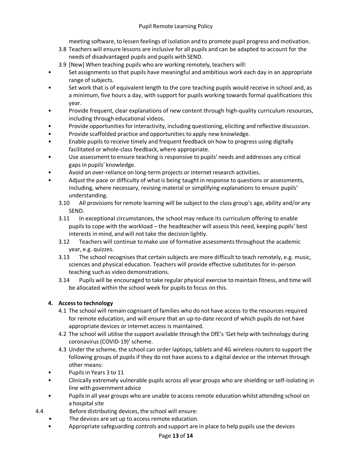meeting software, to lessen feelings of isolation and to promote pupil progress and motivation.

- 3.8 Teachers will ensure lessons are inclusive for all pupils and can be adapted to account for the needs of disadvantaged pupils and pupils with SEND.
- 3.9 [New] When teaching pupils who are working remotely, teachers will:
- Set assignments so that pupils have meaningful and ambitious work each day in an appropriate range of subjects.
- Set work that is of equivalent length to the core teaching pupils would receive in school and, as a minimum, five hours a day, with support for pupils working towards formal qualifications this year.
- Provide frequent, clear explanations of new content through high-quality curriculum resources, including through educational videos.
- Provide opportunities for interactivity, including questioning, eliciting and reflective discussion.
- Provide scaffolded practice and opportunities to apply new knowledge.
- Enable pupils to receive timely and frequent feedback on how to progress using digitally facilitated or whole-class feedback, where appropriate.
- Use assessment to ensure teaching is responsive to pupils' needs and addresses any critical gaps in pupils' knowledge.
- Avoid an over-reliance on long-term projects or internet research activities.
- Adjust the pace or difficulty of what is being taught in response to questions or assessments, including, where necessary, revising material or simplifying explanations to ensure pupils' understanding.
	- 3.10 All provisions for remote learning will be subject to the class group's age, ability and/or any SEND.
	- 3.11 In exceptional circumstances, the school may reduce its curriculum offering to enable pupils to cope with the workload – the headteacher will assess this need, keeping pupils' best interests in mind, and will not take the decision lightly.
	- 3.12 Teachers will continue to make use of formative assessmentsthroughout the academic year, e.g. quizzes.
	- 3.13 The school recognises that certain subjects are more difficult to teach remotely, e.g. music, sciences and physical education. Teachers will provide effective substitutes for in-person teaching such as video demonstrations.
	- 3.14 Pupils will be encouraged to take regular physical exercise to maintain fitness, and time will be allocated within the school week for pupils to focus on this.

# **4. Accessto technology**

- 4.1 The school will remain cognisant of families who do not have access to the resources required for remote education, and will ensure that an up-to-date record of which pupils do not have appropriate devices or internet access is maintained.
- 4.2 The school will utilise the support available through the DfE's 'Get help with technology during coronavirus(COVID-19)'scheme.
- 4.3 Under the scheme, the school can order laptops, tablets and 4G wireless routers to support the following groups of pupils if they do not have access to a digital device or the internet through other means:
- Pupils in Years 3 to 11
- Clinically extremely vulnerable pupils across all year groups who are shielding or self-isolating in line with government advice
- Pupils in all year groups who are unable to access remote education whilst attending school on a hospital site
- 4.4 Before distributing devices, the school will ensure:
	- The devices are set up to access remote education.
	- Appropriate safeguarding controls and support are in place to help pupils use the devices